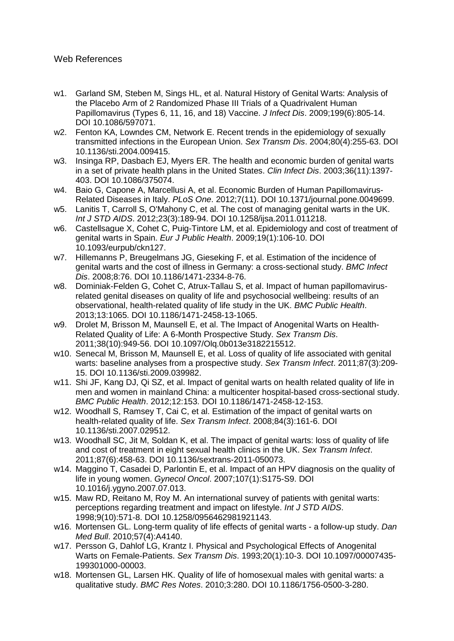## Web References

- w1. Garland SM, Steben M, Sings HL, et al. Natural History of Genital Warts: Analysis of the Placebo Arm of 2 Randomized Phase III Trials of a Quadrivalent Human Papillomavirus (Types 6, 11, 16, and 18) Vaccine. *J Infect Dis*. 2009;199(6):805-14. DOI 10.1086/597071.
- w2. Fenton KA, Lowndes CM, Network E. Recent trends in the epidemiology of sexually transmitted infections in the European Union. *Sex Transm Dis*. 2004;80(4):255-63. DOI 10.1136/sti.2004.009415.
- w3. Insinga RP, Dasbach EJ, Myers ER. The health and economic burden of genital warts in a set of private health plans in the United States. *Clin Infect Dis*. 2003;36(11):1397- 403. DOI 10.1086/375074.
- w4. Baio G, Capone A, Marcellusi A, et al. Economic Burden of Human Papillomavirus-Related Diseases in Italy. *PLoS One*. 2012;7(11). DOI 10.1371/journal.pone.0049699.
- w5. Lanitis T, Carroll S, O'Mahony C, et al. The cost of managing genital warts in the UK. *Int J STD AIDS*. 2012;23(3):189-94. DOI 10.1258/ijsa.2011.011218.
- w6. Castellsague X, Cohet C, Puig-Tintore LM, et al. Epidemiology and cost of treatment of genital warts in Spain. *Eur J Public Health*. 2009;19(1):106-10. DOI 10.1093/eurpub/ckn127.
- w7. Hillemanns P, Breugelmans JG, Gieseking F, et al. Estimation of the incidence of genital warts and the cost of illness in Germany: a cross-sectional study. *BMC Infect Dis*. 2008;8:76. DOI 10.1186/1471-2334-8-76.
- w8. Dominiak-Felden G, Cohet C, Atrux-Tallau S, et al. Impact of human papillomavirusrelated genital diseases on quality of life and psychosocial wellbeing: results of an observational, health-related quality of life study in the UK. *BMC Public Health*. 2013;13:1065. DOI 10.1186/1471-2458-13-1065.
- w9. Drolet M, Brisson M, Maunsell E, et al. The Impact of Anogenital Warts on Health-Related Quality of Life: A 6-Month Prospective Study. *Sex Transm Dis*. 2011;38(10):949-56. DOI 10.1097/Olq.0b013e3182215512.
- w10. Senecal M, Brisson M, Maunsell E, et al. Loss of quality of life associated with genital warts: baseline analyses from a prospective study. *Sex Transm Infect*. 2011;87(3):209- 15. DOI 10.1136/sti.2009.039982.
- w11. Shi JF, Kang DJ, Qi SZ, et al. Impact of genital warts on health related quality of life in men and women in mainland China: a multicenter hospital-based cross-sectional study. *BMC Public Health*. 2012;12:153. DOI 10.1186/1471-2458-12-153.
- w12. Woodhall S, Ramsey T, Cai C, et al. Estimation of the impact of genital warts on health-related quality of life. *Sex Transm Infect*. 2008;84(3):161-6. DOI 10.1136/sti.2007.029512.
- w13. Woodhall SC, Jit M, Soldan K, et al. The impact of genital warts: loss of quality of life and cost of treatment in eight sexual health clinics in the UK. *Sex Transm Infect*. 2011;87(6):458-63. DOI 10.1136/sextrans-2011-050073.
- w14. Maggino T, Casadei D, Parlontin E, et al. Impact of an HPV diagnosis on the quality of life in young women. *Gynecol Oncol*. 2007;107(1):S175-S9. DOI 10.1016/j.ygyno.2007.07.013.
- w15. Maw RD, Reitano M, Roy M. An international survey of patients with genital warts: perceptions regarding treatment and impact on lifestyle. *Int J STD AIDS*. 1998;9(10):571-8. DOI 10.1258/0956462981921143.
- w16. Mortensen GL. Long-term quality of life effects of genital warts a follow-up study. *Dan Med Bull*. 2010;57(4):A4140.
- w17. Persson G, Dahlof LG, Krantz I. Physical and Psychological Effects of Anogenital Warts on Female-Patients. *Sex Transm Dis*. 1993;20(1):10-3. DOI 10.1097/00007435- 199301000-00003.
- w18. Mortensen GL, Larsen HK. Quality of life of homosexual males with genital warts: a qualitative study. *BMC Res Notes*. 2010;3:280. DOI 10.1186/1756-0500-3-280.